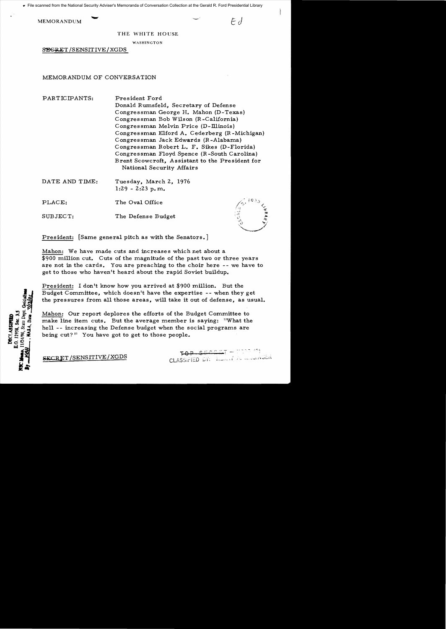**MEMORANDUM** 

 $\mathcal{F}$ 

THE WHITE HOUSE

WASHINGTON

SEGRET/SENSITIVE/XGDS

MEMORANDUM OF CONVERSATION

PARTICIPANTS: President Ford Donald Rumsfeld, Secretary of Defense Congressman George H. Mahon (D-Texas) Congressman Bob Wilson (R-California) Congressman Melvin Price (D-Illinois) Congressman Elford A. Cederberg (R-Michigan) Congressman Jack Edwards (R-Alabama) Congressman Robert L. F. Sikes (D-Florida) Congressman Floyd Spence (R-South Carolina) Brent Scowcroft, Assistant to the President for National Security Affairs DATE AND TIME: Tuesday, March 2, 1976  $1:29 - 2:23$  p.m.

PLACE: The Oval Office

SUBJECT: The Defense Budget

President: [Same general pitch as with the Senators.]

Mahon: We have made cuts and increases which net about a \$900 million cut. Cuts of the magnitude of the past two or three years are not in the cards. You are preaching to the choir here -- we have to get to those who haven't heard about the rapid Soviet buildup.

President: I don't know how you arrived at \$900 million. But the Budget Committee, which doesn't have the expertise -- when they get the pressures from all those areas, will take it out of defense, as usual.

Mahon: Our report deplores the efforts of the Budget Committee to make line item cuts. But the average member is saying: "What the hell -- increasing the Defense budget when the social programs are being cut?" You have got to get to those people.

> $SECET = 7772.79$ CLASSIFIED DY: Hannel A mountser

O. 12958, Sec. 3.5 1724/98. State Dep **MECLASSIFIRM** 

**SECRET/SENSITIVE/XGDS**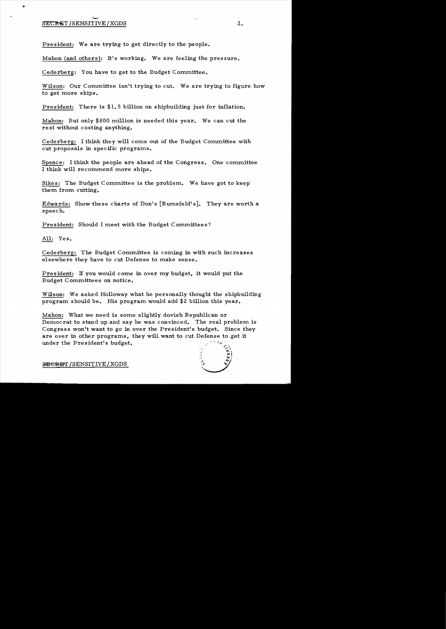## SECRET/SENSITIVE/XGDS 2.

President: We are trying to get directly to the people.

Mahon (and others ): It's working. We are feeling the pressure.

Cederberg: You have to get to the Budget Committee.

Wilson: Our Committee isn't trying to cut. We are trying to figure how to get more ships.

President: There is \$1.5 billion on shipbuilding just for inflation.

Mahon: But only \$800 million is needed this year. We can cut the re st without costing anything.

Cederberg: I think they will come out of the Budget Committee with cut proposals in specific programs.

Spence: I think the people are ahead of the Congress. One committee I think will recommend more ships.

Sikes: The Budget Committee is the problem. We have got to keep them from cutting.

Edwards: Show these charts of Don's [Rumsfeld's]. They are worth a speech.

President: Should I meet with the Budget Committees?

All: Yes.

Cederberg: The Budget Committee is coming in with such increases elsewhere they have to cut Defense to make sense.

President: If you would come in over my budget, it would put the Budget Committees on notice.

Wilson: We asked Holloway what he personally thought the shipbuilding program. should be. His program. would add \$2 billion this year.

Mahon: What we need is some slightly dovish Republican or Democrat to stand up and say he was convinced. The real problem is Congress won't want to go in over the President's budget. Since they are over in other programs, they will want to cut Defense to get it under the President's budget. under the President's budget.

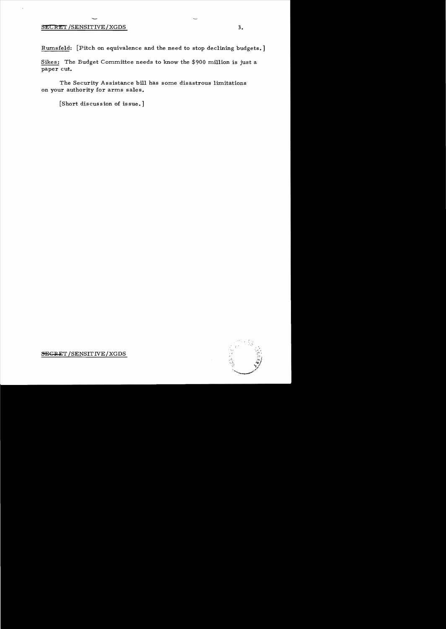## SECRET/SENSITIVE/XGDS 3.

Rumsfeld: [Pitch on equivalence and the need to stop declining budgets.]

Sikes: The Budget Committee needs to know the \$900 million is just a paper cut.

The Security Assistance bill has some disastrous limitations on your authority for arms sales.

[Short discussion of issue.]



 $S_{\text{E}}$ GRET / SENSITIVE / XGDS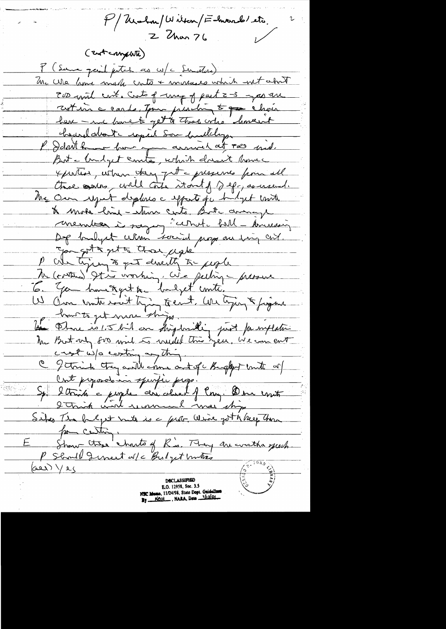P/ Urahan/Wilton/F-marsh etc.  $2$  Chan  $76$ (Enternatil) y (Same paint putch as w/c Senators) Una We have made crite + morages which wit about 200 mil crit. Cuto of map of part 2-3 year are zot in a could, tour presching to go choir here - en france to get to these who "homewit hourdatoute copied Som hadlelyse P I don't know how you arrived at PRS had. But a builget courta, which doesn't home xportion, when they gut a presence from all three serves, will content to the spage of the the Own report deplace efforts por budget conte to mote him - stan cents, But among membre à sager "cethat bill brussein De bailyet cellen social prop au ting cont. Jan got a get to those uple to people M (contre) 972 vorhing, We peeting - pressure 6. You have a get to budget conti. W C'un untersuit trying teent. We trying & figure home to get me ships. the Phane is 1.5 bil on highwillig just famiflation crest w/s continues this Crat preposatomin sperfie prop. Sp. 2 trida = people cere aland of long. Der court Sites In helpt mits is a ferst Wine got to beep home por centing E Show Ctese charts of R's. They are written quest.  $(\cos \sqrt{2})$ E.O. 12958, Sec. 3.5 Memo, 11/24/98, State Dept. Guidelines